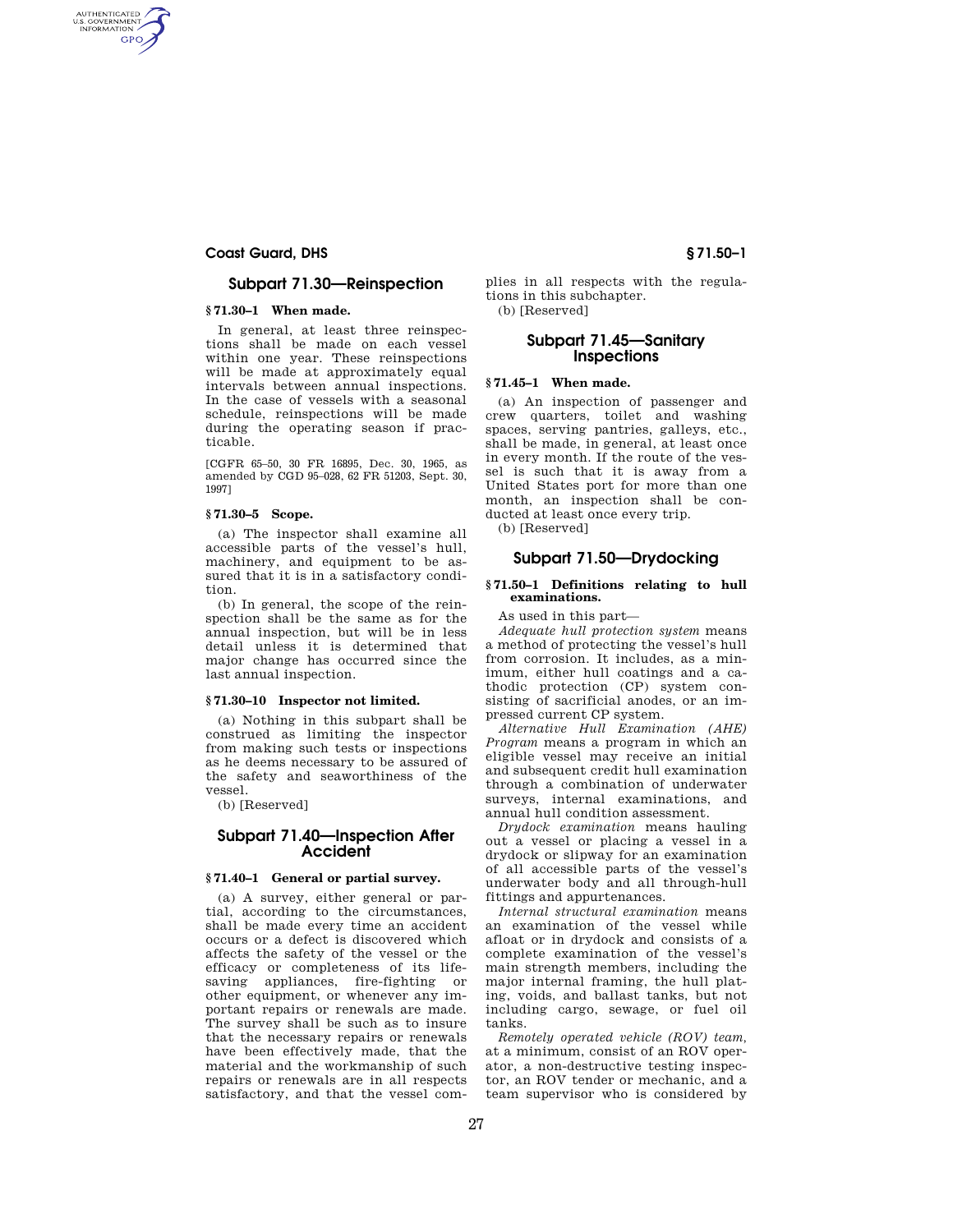# **Coast Guard, DHS § 71.50–1**

AUTHENTICATED<br>U.S. GOVERNMENT<br>INFORMATION GPO

# **Subpart 71.30—Reinspection**

# **§ 71.30–1 When made.**

In general, at least three reinspections shall be made on each vessel within one year. These reinspections will be made at approximately equal intervals between annual inspections. In the case of vessels with a seasonal schedule, reinspections will be made during the operating season if practicable.

[CGFR 65–50, 30 FR 16895, Dec. 30, 1965, as amended by CGD 95–028, 62 FR 51203, Sept. 30, 1997]

#### **§ 71.30–5 Scope.**

(a) The inspector shall examine all accessible parts of the vessel's hull, machinery, and equipment to be assured that it is in a satisfactory condition.

(b) In general, the scope of the reinspection shall be the same as for the annual inspection, but will be in less detail unless it is determined that major change has occurred since the last annual inspection.

#### **§ 71.30–10 Inspector not limited.**

(a) Nothing in this subpart shall be construed as limiting the inspector from making such tests or inspections as he deems necessary to be assured of the safety and seaworthiness of the vessel.

(b) [Reserved]

# **Subpart 71.40—Inspection After Accident**

### **§ 71.40–1 General or partial survey.**

(a) A survey, either general or partial, according to the circumstances, shall be made every time an accident occurs or a defect is discovered which affects the safety of the vessel or the efficacy or completeness of its lifesaving appliances, fire-fighting or other equipment, or whenever any important repairs or renewals are made. The survey shall be such as to insure that the necessary repairs or renewals have been effectively made, that the material and the workmanship of such repairs or renewals are in all respects satisfactory, and that the vessel complies in all respects with the regulations in this subchapter. (b) [Reserved]

## **Subpart 71.45—Sanitary Inspections**

## **§ 71.45–1 When made.**

(a) An inspection of passenger and crew quarters, toilet and washing spaces, serving pantries, galleys, etc., shall be made, in general, at least once in every month. If the route of the vessel is such that it is away from a United States port for more than one month, an inspection shall be conducted at least once every trip.

(b) [Reserved]

## **Subpart 71.50—Drydocking**

#### **§ 71.50–1 Definitions relating to hull examinations.**

As used in this part—

*Adequate hull protection system* means a method of protecting the vessel's hull from corrosion. It includes, as a minimum, either hull coatings and a cathodic protection (CP) system consisting of sacrificial anodes, or an impressed current CP system.

*Alternative Hull Examination (AHE) Program* means a program in which an eligible vessel may receive an initial and subsequent credit hull examination through a combination of underwater surveys, internal examinations, and annual hull condition assessment.

*Drydock examination* means hauling out a vessel or placing a vessel in a drydock or slipway for an examination of all accessible parts of the vessel's underwater body and all through-hull fittings and appurtenances.

*Internal structural examination* means an examination of the vessel while afloat or in drydock and consists of a complete examination of the vessel's main strength members, including the major internal framing, the hull plating, voids, and ballast tanks, but not including cargo, sewage, or fuel oil tanks.

*Remotely operated vehicle (ROV) team,*  at a minimum, consist of an ROV operator, a non-destructive testing inspector, an ROV tender or mechanic, and a team supervisor who is considered by